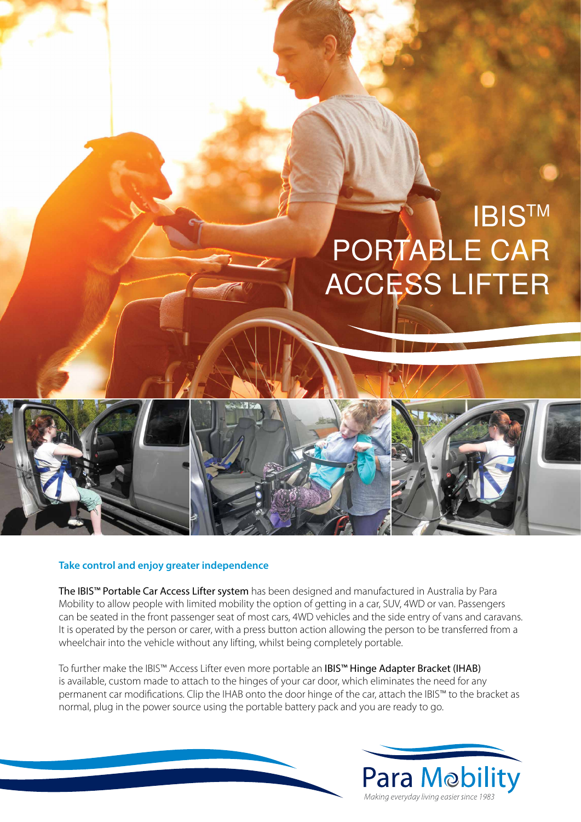

## **Take control and enjoy greater independence**

The IBIS™ Portable Car Access Lifter system has been designed and manufactured in Australia by Para Mobility to allow people with limited mobility the option of getting in a car, SUV, 4WD or van. Passengers can be seated in the front passenger seat of most cars, 4WD vehicles and the side entry of vans and caravans. It is operated by the person or carer, with a press button action allowing the person to be transferred from a wheelchair into the vehicle without any lifting, whilst being completely portable.

To further make the IBIS™ Access Lifter even more portable an IBIS™ Hinge Adapter Bracket (IHAB) is available, custom made to attach to the hinges of your car door, which eliminates the need for any permanent car modifications. Clip the IHAB onto the door hinge of the car, attach the IBIS™ to the bracket as normal, plug in the power source using the portable battery pack and you are ready to go.